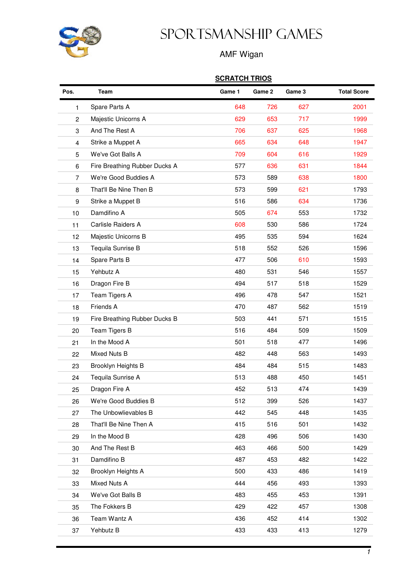

## Sportsmanship Games

## AMF Wigan

## **SCRATCH TRIOS**

| Pos.             | Team                          | Game 1 | Game 2 | Game 3 | <b>Total Score</b> |
|------------------|-------------------------------|--------|--------|--------|--------------------|
| 1                | Spare Parts A                 | 648    | 726    | 627    | 2001               |
| $\overline{2}$   | Majestic Unicorns A           | 629    | 653    | 717    | 1999               |
| 3                | And The Rest A                | 706    | 637    | 625    | 1968               |
| $\overline{4}$   | Strike a Muppet A             | 665    | 634    | 648    | 1947               |
| 5                | We've Got Balls A             | 709    | 604    | 616    | 1929               |
| 6                | Fire Breathing Rubber Ducks A | 577    | 636    | 631    | 1844               |
| 7                | We're Good Buddies A          | 573    | 589    | 638    | 1800               |
| 8                | That'll Be Nine Then B        | 573    | 599    | 621    | 1793               |
| $\boldsymbol{9}$ | Strike a Muppet B             | 516    | 586    | 634    | 1736               |
| 10               | Damdifino A                   | 505    | 674    | 553    | 1732               |
| 11               | Carlisle Raiders A            | 608    | 530    | 586    | 1724               |
| 12               | Majestic Unicorns B           | 495    | 535    | 594    | 1624               |
| 13               | Tequila Sunrise B             | 518    | 552    | 526    | 1596               |
| 14               | Spare Parts B                 | 477    | 506    | 610    | 1593               |
| 15               | Yehbutz A                     | 480    | 531    | 546    | 1557               |
| 16               | Dragon Fire B                 | 494    | 517    | 518    | 1529               |
| 17               | Team Tigers A                 | 496    | 478    | 547    | 1521               |
| 18               | Friends A                     | 470    | 487    | 562    | 1519               |
| 19               | Fire Breathing Rubber Ducks B | 503    | 441    | 571    | 1515               |
| 20               | Team Tigers B                 | 516    | 484    | 509    | 1509               |
| 21               | In the Mood A                 | 501    | 518    | 477    | 1496               |
| 22               | Mixed Nuts B                  | 482    | 448    | 563    | 1493               |
| 23               | Brooklyn Heights B            | 484    | 484    | 515    | 1483               |
| 24               | Tequila Sunrise A             | 513    | 488    | 450    | 1451               |
| 25               | Dragon Fire A                 | 452    | 513    | 474    | 1439               |
| 26               | We're Good Buddies B          | 512    | 399    | 526    | 1437               |
| 27               | The Unbowlievables B          | 442    | 545    | 448    | 1435               |
| 28               | That'll Be Nine Then A        | 415    | 516    | 501    | 1432               |
| 29               | In the Mood B                 | 428    | 496    | 506    | 1430               |
| 30               | And The Rest B                | 463    | 466    | 500    | 1429               |
| 31               | Damdifino B                   | 487    | 453    | 482    | 1422               |
| 32               | Brooklyn Heights A            | 500    | 433    | 486    | 1419               |
| 33               | Mixed Nuts A                  | 444    | 456    | 493    | 1393               |
| 34               | We've Got Balls B             | 483    | 455    | 453    | 1391               |
| 35               | The Fokkers B                 | 429    | 422    | 457    | 1308               |
| 36               | Team Wantz A                  | 436    | 452    | 414    | 1302               |
| 37               | Yehbutz B                     | 433    | 433    | 413    | 1279               |